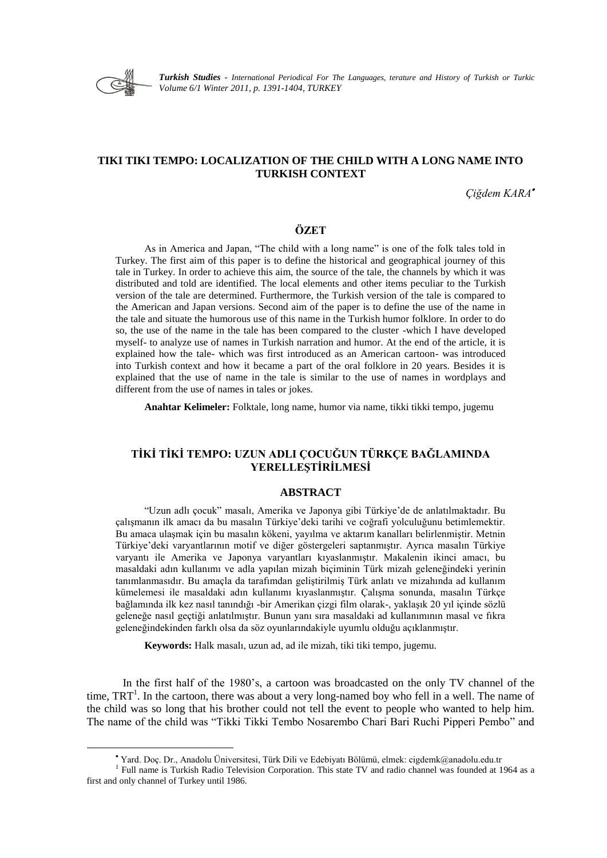

1

*Turkish Studies - International Periodical For The Languages, terature and History of Turkish or Turkic Volume 6/1 Winter 2011, p. 1391-1404, TURKEY*

# **TIKI TIKI TEMPO: LOCALIZATION OF THE CHILD WITH A LONG NAME INTO TURKISH CONTEXT**

*Çiğdem KARA*

# **ÖZET**

As in America and Japan, "The child with a long name" is one of the folk tales told in Turkey. The first aim of this paper is to define the historical and geographical journey of this tale in Turkey. In order to achieve this aim, the source of the tale, the channels by which it was distributed and told are identified. The local elements and other items peculiar to the Turkish version of the tale are determined. Furthermore, the Turkish version of the tale is compared to the American and Japan versions. Second aim of the paper is to define the use of the name in the tale and situate the humorous use of this name in the Turkish humor folklore. In order to do so, the use of the name in the tale has been compared to the cluster -which I have developed myself- to analyze use of names in Turkish narration and humor. At the end of the article, it is explained how the tale- which was first introduced as an American cartoon- was introduced into Turkish context and how it became a part of the oral folklore in 20 years. Besides it is explained that the use of name in the tale is similar to the use of names in wordplays and different from the use of names in tales or jokes.

**Anahtar Kelimeler:** Folktale, long name, humor via name, tikki tikki tempo, jugemu

# **TİKİ TİKİ TEMPO: UZUN ADLI ÇOCUĞUN TÜRKÇE BAĞLAMINDA YERELLEŞTİRİLMESİ**

### **ABSTRACT**

"Uzun adlı çocuk" masalı, Amerika ve Japonya gibi Türkiye"de de anlatılmaktadır. Bu çalışmanın ilk amacı da bu masalın Türkiye'deki tarihi ve coğrafi yolculuğunu betimlemektir. Bu amaca ulaşmak için bu masalın kökeni, yayılma ve aktarım kanalları belirlenmiştir. Metnin Türkiye'deki varyantlarının motif ve diğer göstergeleri saptanmıştır. Ayrıca masalın Türkiye varyantı ile Amerika ve Japonya varyantları kıyaslanmıştır. Makalenin ikinci amacı, bu masaldaki adın kullanımı ve adla yapılan mizah biçiminin Türk mizah geleneğindeki yerinin tanımlanmasıdır. Bu amaçla da tarafımdan geliştirilmiş Türk anlatı ve mizahında ad kullanım kümelemesi ile masaldaki adın kullanımı kıyaslanmıştır. Çalışma sonunda, masalın Türkçe bağlamında ilk kez nasıl tanındığı -bir Amerikan çizgi film olarak-, yaklaĢık 20 yıl içinde sözlü geleneğe nasıl geçtiği anlatılmıştır. Bunun yanı sıra masaldaki ad kullanımının masal ve fıkra geleneğindekinden farklı olsa da söz oyunlarındakiyle uyumlu olduğu açıklanmıştır.

**Keywords:** Halk masalı, uzun ad, ad ile mizah, tiki tiki tempo, jugemu.

In the first half of the 1980"s, a cartoon was broadcasted on the only TV channel of the time,  $TRT<sup>1</sup>$ . In the cartoon, there was about a very long-named boy who fell in a well. The name of the child was so long that his brother could not tell the event to people who wanted to help him. The name of the child was "Tikki Tikki Tembo Nosarembo Chari Bari Ruchi Pipperi Pembo" and

Yard. Doç. Dr., Anadolu Üniversitesi, Türk Dili ve Edebiyatı Bölümü, elmek: cigdemk@anadolu.edu.tr

<sup>&</sup>lt;sup>1</sup> Full name is Turkish Radio Television Corporation. This state TV and radio channel was founded at 1964 as a first and only channel of Turkey until 1986.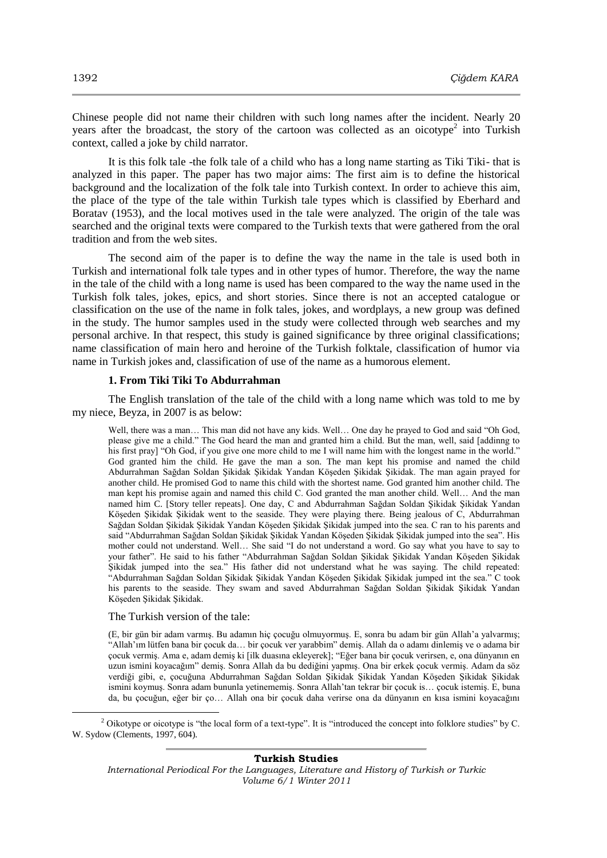Chinese people did not name their children with such long names after the incident. Nearly 20 years after the broadcast, the story of the cartoon was collected as an oicotype<sup>2</sup> into Turkish context, called a joke by child narrator.

It is this folk tale -the folk tale of a child who has a long name starting as Tiki Tiki- that is analyzed in this paper. The paper has two major aims: The first aim is to define the historical background and the localization of the folk tale into Turkish context. In order to achieve this aim, the place of the type of the tale within Turkish tale types which is classified by Eberhard and Boratav (1953), and the local motives used in the tale were analyzed. The origin of the tale was searched and the original texts were compared to the Turkish texts that were gathered from the oral tradition and from the web sites.

The second aim of the paper is to define the way the name in the tale is used both in Turkish and international folk tale types and in other types of humor. Therefore, the way the name in the tale of the child with a long name is used has been compared to the way the name used in the Turkish folk tales, jokes, epics, and short stories. Since there is not an accepted catalogue or classification on the use of the name in folk tales, jokes, and wordplays, a new group was defined in the study. The humor samples used in the study were collected through web searches and my personal archive. In that respect, this study is gained significance by three original classifications; name classification of main hero and heroine of the Turkish folktale, classification of humor via name in Turkish jokes and, classification of use of the name as a humorous element.

### **1. From Tiki Tiki To Abdurrahman**

The English translation of the tale of the child with a long name which was told to me by my niece, Beyza, in 2007 is as below:

Well, there was a man… This man did not have any kids. Well… One day he prayed to God and said "Oh God, please give me a child." The God heard the man and granted him a child. But the man, well, said [addinng to his first pray] "Oh God, if you give one more child to me I will name him with the longest name in the world." God granted him the child. He gave the man a son. The man kept his promise and named the child Abdurrahman Sağdan Soldan Sikidak Sikidak Yandan Köseden Sikidak Sikidak. The man again prayed for another child. He promised God to name this child with the shortest name. God granted him another child. The man kept his promise again and named this child C. God granted the man another child. Well… And the man named him C. [Story teller repeats]. One day, C and Abdurrahman Sağdan Soldan Şikidak Şikidak Yandan Köseden Sikidak Sikidak went to the seaside. They were playing there. Being jealous of C, Abdurrahman Sağdan Soldan Şikidak Şikidak Yandan Köşeden Şikidak Şikidak jumped into the sea. C ran to his parents and said "Abdurrahman Sağdan Soldan Sikidak Şikidak Yandan Köseden Sikidak Şikidak jumped into the sea". His mother could not understand. Well… She said "I do not understand a word. Go say what you have to say to your father". He said to his father "Abdurrahman Sağdan Soldan Şikidak Şikidak Yandan Köşeden Şikidak ġikidak jumped into the sea." His father did not understand what he was saying. The child repeated: "Abdurrahman Sağdan Soldan Sikidak Sikidak Yandan Köseden Sikidak Sikidak jumped int the sea." C took his parents to the seaside. They swam and saved Abdurrahman Sağdan Soldan Sikidak Sikidak Yandan Köşeden Şikidak Şikidak.

#### The Turkish version of the tale:

 $\overline{a}$ 

(E, bir gün bir adam varmış. Bu adamın hiç çocuğu olmuyormuş. E, sonra bu adam bir gün Allah'a yalvarmış; "Allah'ım lütfen bana bir çocuk da… bir çocuk ver yarabbim" demiş. Allah da o adamı dinlemiş ve o adama bir çocuk vermiĢ. Ama e, adam demiĢ ki [ilk duasına ekleyerek]; "Eğer bana bir çocuk verirsen, e, ona dünyanın en uzun ismini koyacağım" demiş. Sonra Allah da bu dediğini yapmış. Ona bir erkek çocuk vermiş. Adam da söz verdiği gibi, e, çocuğuna Abdurrahman Sağdan Soldan Şikidak Şikidak Yandan Köşeden Şikidak Şikidak ismini koymuş. Sonra adam bununla yetinememiş. Sonra Allah'tan tekrar bir çocuk is… çocuk istemiş. E, buna da, bu çocuğun, eğer bir ço… Allah ona bir çocuk daha verirse ona da dünyanın en kısa ismini koyacağını

#### **Turkish Studies**

*International Periodical For the Languages, Literature and History of Turkish or Turkic Volume 6/1 Winter 2011*

<sup>&</sup>lt;sup>2</sup> Oikotype or oicotype is "the local form of a text-type". It is "introduced the concept into folklore studies" by C. W. Sydow (Clements, 1997, 604).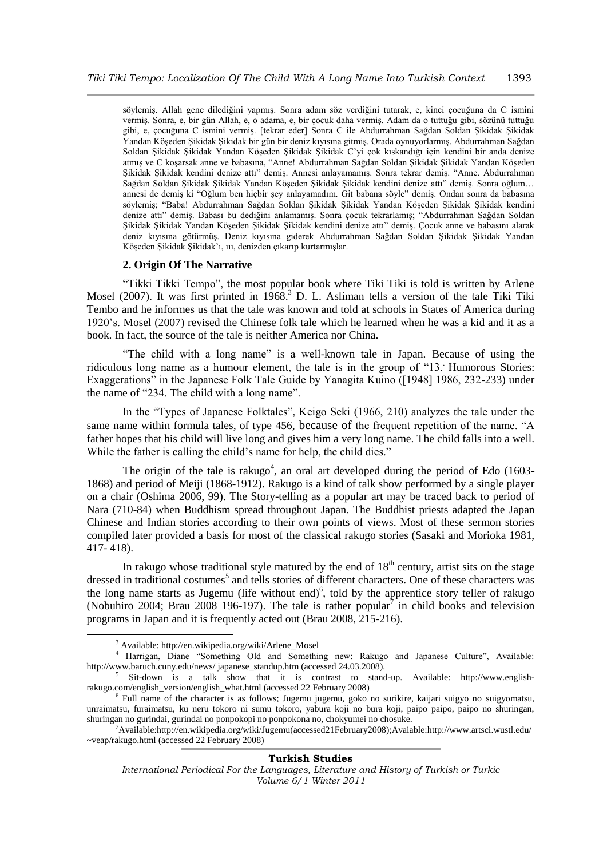söylemiş. Allah gene dilediğini yapmış. Sonra adam söz verdiğini tutarak, e, kinci çocuğuna da C ismini vermiş. Sonra, e, bir gün Allah, e, o adama, e, bir çocuk daha vermiş. Adam da o tuttuğu gibi, sözünü tuttuğu gibi, e, çocuğuna C ismini vermiş. [tekrar eder] Sonra C ile Abdurrahman Sağdan Soldan Sikidak Sikidak Yandan Köşeden Şikidak Şikidak bir gün bir deniz kıyısına gitmiş. Orada oynuyorlarmış. Abdurrahman Sağdan Soldan Sikidak Sikidak Yandan Köseden Sikidak Sikidak C'yi çok kıskandığı için kendini bir anda denize atmış ve C koşarsak anne ve babasına, "Anne! Abdurrahman Sağdan Soldan Şikidak Şikidak Yandan Köşeden Şikidak Şikidak kendini denize attı" demiş. Annesi anlayamamış. Sonra tekrar demiş. "Anne. Abdurrahman Sağdan Soldan Şikidak Şikidak Yandan Köşeden Şikidak Şikidak kendini denize attı" demiş. Sonra oğlum... annesi de demiş ki "Oğlum ben hiçbir şey anlayamadım. Git babana söyle" demiş. Ondan sonra da babasına söylemiş; "Baba! Abdurrahman Sağdan Soldan Şikidak Şikidak Yandan Köşeden Şikidak Şikidak kendini denize attı" demiş. Babası bu dediğini anlamamış. Sonra çocuk tekrarlamış; "Abdurrahman Sağdan Soldan Şikidak Şikidak Yandan Köşeden Şikidak Şikidak kendini denize attı" demiş. Çocuk anne ve babasını alarak deniz kıyısına götürmüş. Deniz kıyısına giderek Abdurrahman Sağdan Soldan Şikidak Şikidak Yandan Köseden Sikidak Sikidak'ı, ııı, denizden çıkarıp kurtarmışlar.

# **2. Origin Of The Narrative**

"Tikki Tikki Tempo", the most popular book where Tiki Tiki is told is written by Arlene Mosel (2007). It was first printed in 1968.<sup>3</sup> D. L. Asliman tells a version of the tale Tiki Tiki Tembo and he informes us that the tale was known and told at schools in States of America during 1920"s. Mosel (2007) revised the Chinese folk tale which he learned when he was a kid and it as a book. In fact, the source of the tale is neither America nor China.

"The child with a long name" is a well-known tale in Japan. Because of using the ridiculous long name as a humour element, the tale is in the group of "13.. Humorous Stories: Exaggerations" in the Japanese Folk Tale Guide by Yanagita Kuino ([1948] 1986, 232-233) under the name of "234. The child with a long name".

In the "Types of Japanese Folktales", Keigo Seki (1966, 210) analyzes the tale under the same name within formula tales, of type 456, because of the frequent repetition of the name. "A father hopes that his child will live long and gives him a very long name. The child falls into a well. While the father is calling the child's name for help, the child dies."

The origin of the tale is rakugo<sup>4</sup>, an oral art developed during the period of Edo  $(1603 -$ 1868) and period of Meiji (1868-1912). Rakugo is a kind of talk show performed by a single player on a chair (Oshima 2006, 99). The Story-telling as a popular art may be traced back to period of Nara (710-84) when Buddhism spread throughout Japan. The Buddhist priests adapted the Japan Chinese and Indian stories according to their own points of views. Most of these sermon stories compiled later provided a basis for most of the classical rakugo stories (Sasaki and Morioka 1981, 417- 418).

In rakugo whose traditional style matured by the end of  $18<sup>th</sup>$  century, artist sits on the stage dressed in traditional costumes<sup>5</sup> and tells stories of different characters. One of these characters was the long name starts as Jugemu (life without end) $<sup>6</sup>$ , told by the apprentice story teller of rakugo</sup> (Nobuhiro 2004; Brau 2008 196-197). The tale is rather popular<sup>7</sup> in child books and television programs in Japan and it is frequently acted out (Brau 2008, 215-216).

1

<sup>&</sup>lt;sup>3</sup> Available: http://en.wikipedia.org/wiki/Arlene\_Mosel

<sup>4</sup> Harrigan, Diane "Something Old and Something new: Rakugo and Japanese Culture", Available: http://www.baruch.cuny.edu/news/ japanese\_standup.htm (accessed 24.03.2008).

<sup>5</sup> Sit-down is a talk show that it is contrast to stand-up. Available: http://www.englishrakugo.com/english\_version/english\_what.html (accessed 22 February 2008)

<sup>6</sup> Full name of the character is as follows; Jugemu jugemu, goko no surikire, kaijari suigyo no suigyomatsu, unraimatsu, furaimatsu, ku neru tokoro ni sumu tokoro, yabura koji no bura koji, paipo paipo, paipo no shuringan, shuringan no gurindai, gurindai no ponpokopi no ponpokona no, chokyumei no chosuke.

<sup>7</sup>Available:http://en.wikipedia.org/wiki/Jugemu(accessed21February2008);Avaiable:http://www.artsci.wustl.edu/ ~veap/rakugo.html (accessed 22 February 2008)

*International Periodical For the Languages, Literature and History of Turkish or Turkic Volume 6/1 Winter 2011*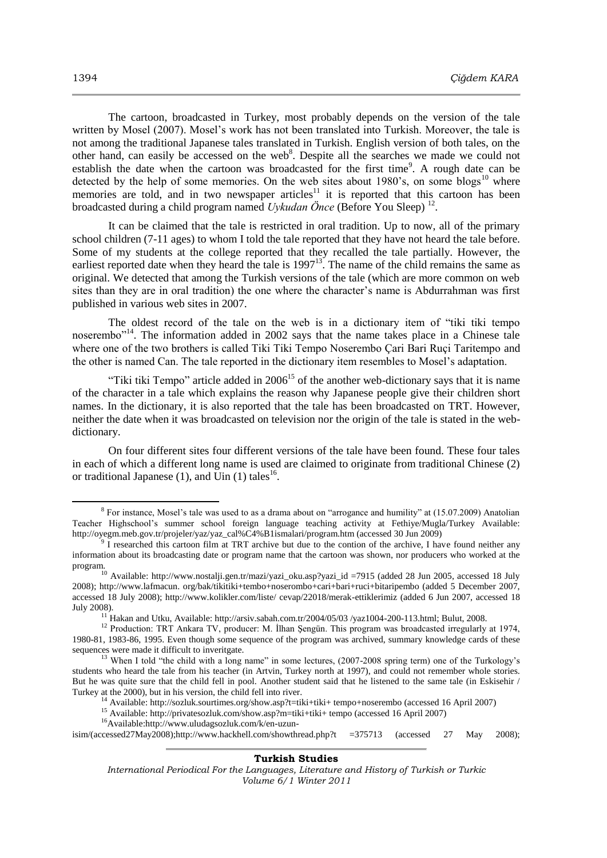The cartoon, broadcasted in Turkey, most probably depends on the version of the tale written by Mosel (2007). Mosel's work has not been translated into Turkish. Moreover, the tale is not among the traditional Japanese tales translated in Turkish. English version of both tales, on the other hand, can easily be accessed on the web<sup>8</sup>. Despite all the searches we made we could not establish the date when the cartoon was broadcasted for the first time<sup>9</sup>. A rough date can be detected by the help of some memories. On the web sites about 1980's, on some blogs<sup>10</sup> where memories are told, and in two newspaper articles<sup>11</sup> it is reported that this cartoon has been broadcasted during a child program named *Uykudan Önce* (Before You Sleep)<sup>12</sup>.

It can be claimed that the tale is restricted in oral tradition. Up to now, all of the primary school children (7-11 ages) to whom I told the tale reported that they have not heard the tale before. Some of my students at the college reported that they recalled the tale partially. However, the earliest reported date when they heard the tale is 1997<sup>13</sup>. The name of the child remains the same as original. We detected that among the Turkish versions of the tale (which are more common on web sites than they are in oral tradition) the one where the character's name is Abdurrahman was first published in various web sites in 2007.

The oldest record of the tale on the web is in a dictionary item of "tiki tiki tempo noserembo<sup>"14</sup>. The information added in 2002 says that the name takes place in a Chinese tale where one of the two brothers is called Tiki Tiki Tempo Noserembo Cari Bari Ruci Taritempo and the other is named Can. The tale reported in the dictionary item resembles to Mosel"s adaptation.

"Tiki tiki Tempo" article added in  $2006^{15}$  of the another web-dictionary says that it is name of the character in a tale which explains the reason why Japanese people give their children short names. In the dictionary, it is also reported that the tale has been broadcasted on TRT. However, neither the date when it was broadcasted on television nor the origin of the tale is stated in the webdictionary.

On four different sites four different versions of the tale have been found. These four tales in each of which a different long name is used are claimed to originate from traditional Chinese (2) or traditional Japanese  $(1)$ , and Uin  $(1)$  tales<sup>16</sup>.

isim/(accessed27May2008);http://www.hackhell.com/showthread.php?t =375713 (accessed 27 May 2008);

## **Turkish Studies**

 $\overline{a}$ 

<sup>&</sup>lt;sup>8</sup> For instance, Mosel's tale was used to as a drama about on "arrogance and humility" at (15.07.2009) Anatolian Teacher Highschool"s summer school foreign language teaching activity at Fethiye/Mugla/Turkey Available: http://oyegm.meb.gov.tr/projeler/yaz/yaz\_cal%C4%B1ismalari/program.htm (accessed 30 Jun 2009)

<sup>9</sup> I researched this cartoon film at TRT archive but due to the contion of the archive, I have found neither any information about its broadcasting date or program name that the cartoon was shown, nor producers who worked at the program.

<sup>&</sup>lt;sup>10</sup> Available: http://www.nostalji.gen.tr/mazi/yazi\_oku.asp?yazi\_id =7915 (added 28 Jun 2005, accessed 18 July 2008); http://www.lafmacun. org/bak/tikitiki+tembo+noserombo+cari+bari+ruci+bitaripembo (added 5 December 2007, accessed 18 July 2008); http://www.kolikler.com/liste/ cevap/22018/merak-ettiklerimiz (added 6 Jun 2007, accessed 18 July 2008).

<sup>&</sup>lt;sup>11</sup> Hakan and Utku, Available: http://arsiv.sabah.com.tr/2004/05/03/yaz1004-200-113.html; Bulut, 2008.

<sup>&</sup>lt;sup>12</sup> Production: TRT Ankara TV, producer: M. İlhan Şengün. This program was broadcasted irregularly at 1974, 1980-81, 1983-86, 1995. Even though some sequence of the program was archived, summary knowledge cards of these sequences were made it difficult to inveritgate.

<sup>&</sup>lt;sup>13</sup> When I told "the child with a long name" in some lectures, (2007-2008 spring term) one of the Turkology's students who heard the tale from his teacher (in Artvin, Turkey north at 1997), and could not remember whole stories. But he was quite sure that the child fell in pool. Another student said that he listened to the same tale (in Eskisehir / Turkey at the 2000), but in his version, the child fell into river.

<sup>14</sup> Available: http://sozluk.sourtimes.org/show.asp?t=tiki+tiki+ tempo+noserembo (accessed 16 April 2007)

<sup>15</sup> Available: http://privatesozluk.com/show.asp?m=tiki+tiki+ tempo (accessed 16 April 2007)

<sup>16</sup>Available:http://www.uludagsozluk.com/k/en-uzun-

*International Periodical For the Languages, Literature and History of Turkish or Turkic Volume 6/1 Winter 2011*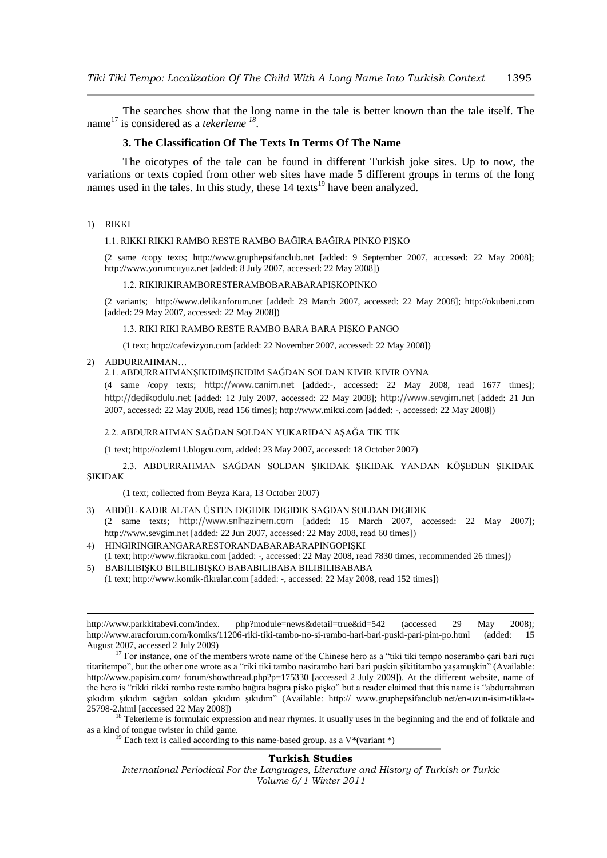The searches show that the long name in the tale is better known than the tale itself. The name<sup>17</sup> is considered as a *tekerleme*<sup>18</sup>.

# **3. The Classification Of The Texts In Terms Of The Name**

The oicotypes of the tale can be found in different Turkish joke sites. Up to now, the variations or texts copied from other web sites have made 5 different groups in terms of the long names used in the tales. In this study, these  $14$  texts<sup>19</sup> have been analyzed.

### 1) RIKKI

## 1.1. RIKKI RIKKI RAMBO RESTE RAMBO BAĞIRA BAĞIRA PINKO PIġKO

(2 same /copy texts; http://www.gruphepsifanclub.net [added: 9 September 2007, accessed: 22 May 2008]; http://www.yorumcuyuz.net [added: 8 July 2007, accessed: 22 May 2008])

#### 1.2. RIKIRIKIRAMBORESTERAMBOBARABARAPIġKOPINKO

(2 variants; http://www.delikanforum.net [added: 29 March 2007, accessed: 22 May 2008]; http://okubeni.com [added: 29 May 2007, accessed: 22 May 2008])

#### 1.3. RIKI RIKI RAMBO RESTE RAMBO BARA BARA PIġKO PANGO

(1 text; http://cafevizyon.com [added: 22 November 2007, accessed: 22 May 2008])

2) ABDURRAHMAN…

<u>.</u>

## 2.1. ABDURRAHMANġIKIDIMġIKIDIM SAĞDAN SOLDAN KIVIR KIVIR OYNA

(4 same /copy texts; [http://www.canim.net](http://www.canim.net/) [added:-, accessed: 22 May 2008, read 1677 times]; [http://dedikodulu.net](http://dedikodulu.net/) [added: 12 July 2007, accessed: 22 May 2008]; [http://www.sevgim.net](http://www.sevgim.net/) [added: 21 Jun 2007, accessed: 22 May 2008, read 156 times]; http://www.mikxi.com [added: -, accessed: 22 May 2008])

### 2.2. ABDURRAHMAN SAĞDAN SOLDAN YUKARIDAN ASAĞA TIK TIK

(1 text; http://ozlem11.blogcu.com, added: 23 May 2007, accessed: 18 October 2007)

2.3. ABDURRAHMAN SAĞDAN SOLDAN SIKIDAK SIKIDAK YANDAN KÖSEDEN SIKIDAK **SIKIDAK** 

(1 text; collected from Beyza Kara, 13 October 2007)

- 3) ABDÜL KADIR ALTAN ÜSTEN DIGIDIK DIGIDIK SAĞDAN SOLDAN DIGIDIK (2 same texts; [http://www.snlhazinem.com](http://www.snlhazinem.com/) [added: 15 March 2007, accessed: 22 May 2007]; http://www.sevgim.net [added: 22 Jun 2007, accessed: 22 May 2008, read 60 times])
- 4) HINGIRINGIRANGARARESTORANDABARABARAPINGOPISKI (1 text; http://www.fikraoku.com [added: -, accessed: 22 May 2008, read 7830 times, recommended 26 times])
- 5) BABILIBIġKO BILBILIBIġKO BABABILIBABA BILIBILIBABABA (1 text; http://www.komik-fikralar.com [added: -, accessed: 22 May 2008, read 152 times])

### **Turkish Studies**

*International Periodical For the Languages, Literature and History of Turkish or Turkic Volume 6/1 Winter 2011*

http://www.parkkitabevi.com/index. php?module=news&detail=true&id=542 (accessed 29 May 2008); http://www.aracforum.com/komiks/11206-riki-tiki-tambo-no-si-rambo-hari-bari-puski-pari-pim-po.html (added: 15 August 2007, accessed 2 July 2009)

<sup>&</sup>lt;sup>17</sup> For instance, one of the members wrote name of the Chinese hero as a "tiki tiki tempo noserambo çari bari ruçi titaritempo", but the other one wrote as a "riki tiki tambo nasirambo hari bari puşkin sikititambo yaşamuşkin" (Available: http://www.papisim.com/ forum/showthread.php?p=175330 [accessed 2 July 2009]). At the different website, name of the hero is "rikki rikki rombo reste rambo bağıra bağıra pisko pişko" but a reader claimed that this name is "abdurrahman sıkıdım sıkıdım sağdan soldan sıkıdım sıkıdım" (Available: http:// www.gruphepsifanclub.net/en-uzun-isim-tikla-t-25798-2.html [accessed 22 May 2008])

<sup>&</sup>lt;sup>18</sup> Tekerleme is formulaic expression and near rhymes. It usually uses in the beginning and the end of folktale and as a kind of tongue twister in child game.

<sup>&</sup>lt;sup>19</sup> Each text is called according to this name-based group. as a  $V^*$  (variant  $*)$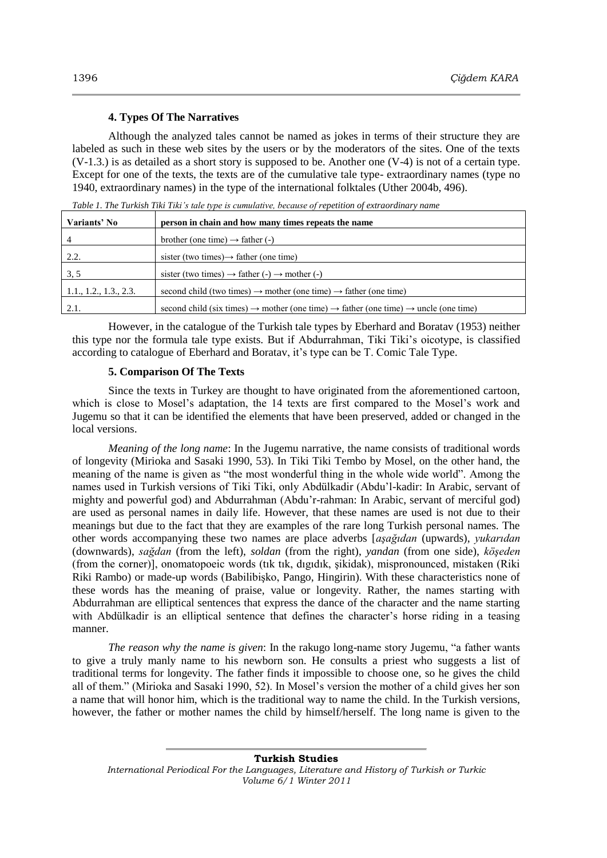## **4. Types Of The Narratives**

Although the analyzed tales cannot be named as jokes in terms of their structure they are labeled as such in these web sites by the users or by the moderators of the sites. One of the texts (V-1.3.) is as detailed as a short story is supposed to be. Another one (V-4) is not of a certain type. Except for one of the texts, the texts are of the cumulative tale type- extraordinary names (type no 1940, extraordinary names) in the type of the international folktales (Uther 2004b, 496).

*Table 1. The Turkish Tiki Tiki's tale type is cumulative, because of repetition of extraordinary name*

| Variants' No           | person in chain and how many times repeats the name                                                                     |
|------------------------|-------------------------------------------------------------------------------------------------------------------------|
| 4                      | brother (one time) $\rightarrow$ father (-)                                                                             |
| 2.2.                   | sister (two times) $\rightarrow$ father (one time)                                                                      |
| 3.5                    | sister (two times) $\rightarrow$ father (-) $\rightarrow$ mother (-)                                                    |
| 1.1., 1.2., 1.3., 2.3. | second child (two times) $\rightarrow$ mother (one time) $\rightarrow$ father (one time)                                |
| 2.1.                   | second child (six times) $\rightarrow$ mother (one time) $\rightarrow$ father (one time) $\rightarrow$ uncle (one time) |

However, in the catalogue of the Turkish tale types by Eberhard and Boratav (1953) neither this type nor the formula tale type exists. But if Abdurrahman, Tiki Tiki"s oicotype, is classified according to catalogue of Eberhard and Boratav, it's type can be T. Comic Tale Type.

## **5. Comparison Of The Texts**

Since the texts in Turkey are thought to have originated from the aforementioned cartoon, which is close to Mosel's adaptation, the 14 texts are first compared to the Mosel's work and Jugemu so that it can be identified the elements that have been preserved, added or changed in the local versions.

*Meaning of the long name*: In the Jugemu narrative, the name consists of traditional words of longevity (Mirioka and Sasaki 1990, 53). In Tiki Tiki Tembo by Mosel, on the other hand, the meaning of the name is given as "the most wonderful thing in the whole wide world". Among the names used in Turkish versions of Tiki Tiki, only Abdülkadir (Abdu"l-kadir: In Arabic, servant of mighty and powerful god) and Abdurrahman (Abdu"r-rahman: In Arabic, servant of merciful god) are used as personal names in daily life. However, that these names are used is not due to their meanings but due to the fact that they are examples of the rare long Turkish personal names. The other words accompanying these two names are place adverbs [*aşağıdan* (upwards), *yukarıdan* (downwards), *sağdan* (from the left), *soldan* (from the right), *yandan* (from one side), *köşeden* (from the corner)], onomatopoeic words (tık tık, dıgıdık, Ģikidak), mispronounced, mistaken (Riki Riki Rambo) or made-up words (Babilibisko, Pango, Hingirin). With these characteristics none of these words has the meaning of praise, value or longevity. Rather, the names starting with Abdurrahman are elliptical sentences that express the dance of the character and the name starting with Abdülkadir is an elliptical sentence that defines the character's horse riding in a teasing manner.

*The reason why the name is given*: In the rakugo long-name story Jugemu, "a father wants to give a truly manly name to his newborn son. He consults a priest who suggests a list of traditional terms for longevity. The father finds it impossible to choose one, so he gives the child all of them." (Mirioka and Sasaki 1990, 52). In Mosel"s version the mother of a child gives her son a name that will honor him, which is the traditional way to name the child. In the Turkish versions, however, the father or mother names the child by himself/herself. The long name is given to the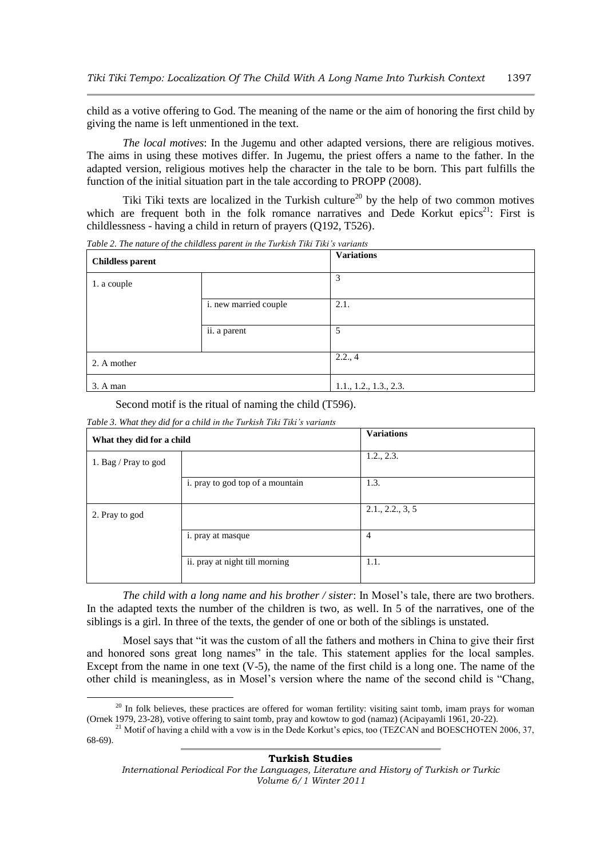child as a votive offering to God. The meaning of the name or the aim of honoring the first child by giving the name is left unmentioned in the text.

*The local motives*: In the Jugemu and other adapted versions, there are religious motives. The aims in using these motives differ. In Jugemu, the priest offers a name to the father. In the adapted version, religious motives help the character in the tale to be born. This part fulfills the function of the initial situation part in the tale according to PROPP (2008).

Tiki Tiki texts are localized in the Turkish culture<sup>20</sup> by the help of two common motives which are frequent both in the folk romance narratives and Dede Korkut epics<sup>21</sup>: First is childlessness - having a child in return of prayers (Q192, T526).

| <b>Childless parent</b> |                       | <b>Variations</b>      |
|-------------------------|-----------------------|------------------------|
| 1. a couple             |                       | 3                      |
|                         | i. new married couple | 2.1.                   |
|                         | ii. a parent          | 5                      |
| 2. A mother             |                       | 2.2., 4                |
| 3. A man                |                       | 1.1., 1.2., 1.3., 2.3. |

*Table 2. The nature of the childless parent in the Turkish Tiki Tiki's variants*

Second motif is the ritual of naming the child (T596).

| What they did for a child |                                  | <b>Variations</b> |  |
|---------------------------|----------------------------------|-------------------|--|
| 1. Bag / Pray to god      |                                  | 1.2., 2.3.        |  |
|                           | i. pray to god top of a mountain | 1.3.              |  |
| 2. Pray to god            |                                  | 2.1., 2.2., 3, 5  |  |
|                           | <i>i.</i> pray at masque         | 4                 |  |
|                           | ii. pray at night till morning   | 1.1.              |  |

*Table 3. What they did for a child in the Turkish Tiki Tiki's variants*

1

*The child with a long name and his brother / sister*: In Mosel"s tale, there are two brothers. In the adapted texts the number of the children is two, as well. In 5 of the narratives, one of the siblings is a girl. In three of the texts, the gender of one or both of the siblings is unstated.

Mosel says that "it was the custom of all the fathers and mothers in China to give their first and honored sons great long names" in the tale. This statement applies for the local samples. Except from the name in one text  $(V-5)$ , the name of the first child is a long one. The name of the other child is meaningless, as in Mosel"s version where the name of the second child is "Chang,

<sup>&</sup>lt;sup>20</sup> In folk believes, these practices are offered for woman fertility: visiting saint tomb, imam prays for woman (Ornek 1979, 23-28), votive offering to saint tomb, pray and kowtow to god (namaz) (Acipayamli 1961, 20-22).

<sup>&</sup>lt;sup>21</sup> Motif of having a child with a vow is in the Dede Korkut's epics, too (TEZCAN and BOESCHOTEN 2006, 37, 68-69).

*International Periodical For the Languages, Literature and History of Turkish or Turkic Volume 6/1 Winter 2011*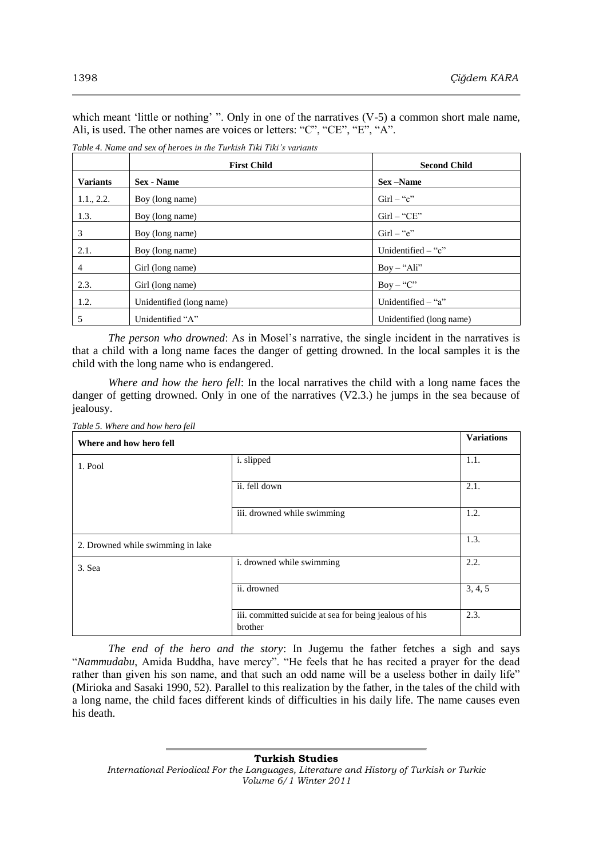which meant 'little or nothing' ". Only in one of the narratives  $(V-5)$  a common short male name, Ali, is used. The other names are voices or letters: "C", "CE", "E", "A".

|                 | <b>First Child</b>       | <b>Second Child</b>      |
|-----------------|--------------------------|--------------------------|
| <b>Variants</b> | <b>Sex</b> - Name        | Sex –Name                |
| 1.1., 2.2.      | Boy (long name)          | $Girl - "c"$             |
| 1.3.            | Boy (long name)          | $Girl - "CE"$            |
| 3               | Boy (long name)          | $Girl - "e"$             |
| 2.1.            | Boy (long name)          | Unidentified $-$ "c"     |
| $\overline{4}$  | Girl (long name)         | $Boy - "Ali"$            |
| 2.3.            | Girl (long name)         | $Boy - "C"$              |
| 1.2.            | Unidentified (long name) | Unidentified $-$ "a"     |
| 5               | Unidentified "A"         | Unidentified (long name) |

*Table 4. Name and sex of heroes in the Turkish Tiki Tiki's variants*

*The person who drowned*: As in Mosel's narrative, the single incident in the narratives is that a child with a long name faces the danger of getting drowned. In the local samples it is the child with the long name who is endangered.

*Where and how the hero fell*: In the local narratives the child with a long name faces the danger of getting drowned. Only in one of the narratives (V2.3.) he jumps in the sea because of jealousy.

| Table 5. Where and how hero fell<br>Where and how hero fell |                                                                   | <b>Variations</b> |
|-------------------------------------------------------------|-------------------------------------------------------------------|-------------------|
| 1. Pool                                                     | i. slipped                                                        | 1.1.              |
|                                                             | ii. fell down                                                     | 2.1.              |
|                                                             | iii. drowned while swimming                                       | 1.2.              |
| 2. Drowned while swimming in lake                           |                                                                   | 1.3.              |
| 3. Sea                                                      | i. drowned while swimming                                         | 2.2.              |
|                                                             | ii. drowned                                                       | 3, 4, 5           |
|                                                             | iii. committed suicide at sea for being jealous of his<br>brother | 2.3.              |

*The end of the hero and the story*: In Jugemu the father fetches a sigh and says "*Nammudabu*, Amida Buddha, have mercy". "He feels that he has recited a prayer for the dead rather than given his son name, and that such an odd name will be a useless bother in daily life" (Mirioka and Sasaki 1990, 52). Parallel to this realization by the father, in the tales of the child with a long name, the child faces different kinds of difficulties in his daily life. The name causes even his death.

**Turkish Studies** *International Periodical For the Languages, Literature and History of Turkish or Turkic Volume 6/1 Winter 2011*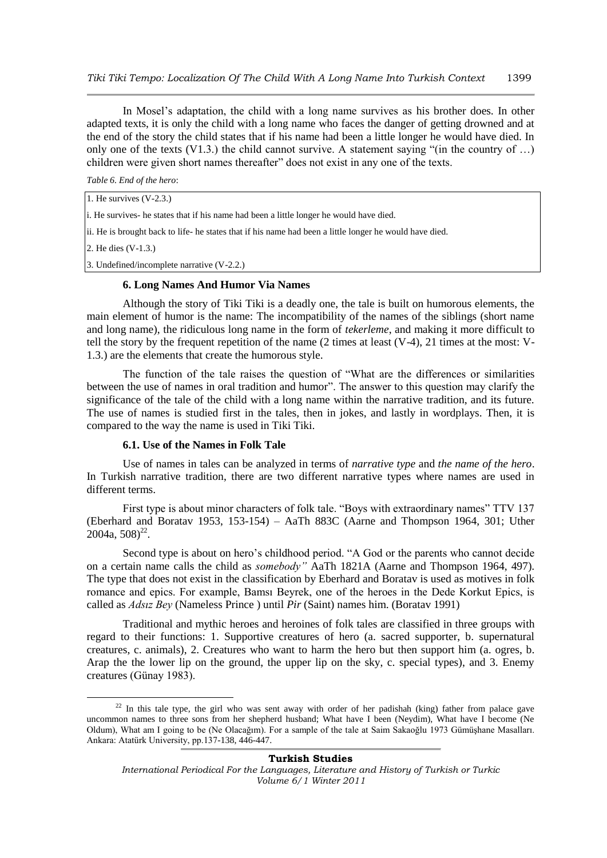In Mosel"s adaptation, the child with a long name survives as his brother does. In other adapted texts, it is only the child with a long name who faces the danger of getting drowned and at the end of the story the child states that if his name had been a little longer he would have died. In only one of the texts (V1.3.) the child cannot survive. A statement saying "(in the country of …) children were given short names thereafter" does not exist in any one of the texts.

*Table 6. End of the hero*:

1. He survives (V-2.3.)

i. He survives- he states that if his name had been a little longer he would have died.

ii. He is brought back to life- he states that if his name had been a little longer he would have died.

2. He dies (V-1.3.)

1

3. Undefined/incomplete narrative (V-2.2.)

## **6. Long Names And Humor Via Names**

Although the story of Tiki Tiki is a deadly one, the tale is built on humorous elements, the main element of humor is the name: The incompatibility of the names of the siblings (short name and long name), the ridiculous long name in the form of *tekerleme*, and making it more difficult to tell the story by the frequent repetition of the name  $(2 \text{ times at least } (V-4), 21 \text{ times at the most: } V-$ 1.3.) are the elements that create the humorous style.

The function of the tale raises the question of "What are the differences or similarities between the use of names in oral tradition and humor". The answer to this question may clarify the significance of the tale of the child with a long name within the narrative tradition, and its future. The use of names is studied first in the tales, then in jokes, and lastly in wordplays. Then, it is compared to the way the name is used in Tiki Tiki.

# **6.1. Use of the Names in Folk Tale**

Use of names in tales can be analyzed in terms of *narrative type* and *the name of the hero*. In Turkish narrative tradition, there are two different narrative types where names are used in different terms.

First type is about minor characters of folk tale. "Boys with extraordinary names" TTV 137 (Eberhard and Boratav 1953, 153-154) – AaTh 883C (Aarne and Thompson 1964, 301; Uther  $2004a, 508$ <sup>22</sup>.

Second type is about on hero's childhood period. "A God or the parents who cannot decide on a certain name calls the child as *somebody"* AaTh 1821A (Aarne and Thompson 1964, 497). The type that does not exist in the classification by Eberhard and Boratav is used as motives in folk romance and epics. For example, Bamsı Beyrek, one of the heroes in the Dede Korkut Epics, is called as *Adsız Bey* (Nameless Prince ) until *Pir* (Saint) names him. (Boratav 1991)

Traditional and mythic heroes and heroines of folk tales are classified in three groups with regard to their functions: 1. Supportive creatures of hero (a. sacred supporter, b. supernatural creatures, c. animals), 2. Creatures who want to harm the hero but then support him (a. ogres, b. Arap the the lower lip on the ground, the upper lip on the sky, c. special types), and 3. Enemy creatures (Günay 1983).

<sup>&</sup>lt;sup>22</sup> In this tale type, the girl who was sent away with order of her padishah (king) father from palace gave uncommon names to three sons from her shepherd husband; What have I been (Neydim), What have I become (Ne Oldum), What am I going to be (Ne Olacağım). For a sample of the tale at Saim Sakaoğlu 1973 Gümüşhane Masalları. Ankara: Atatürk University, pp.137-138, 446-447.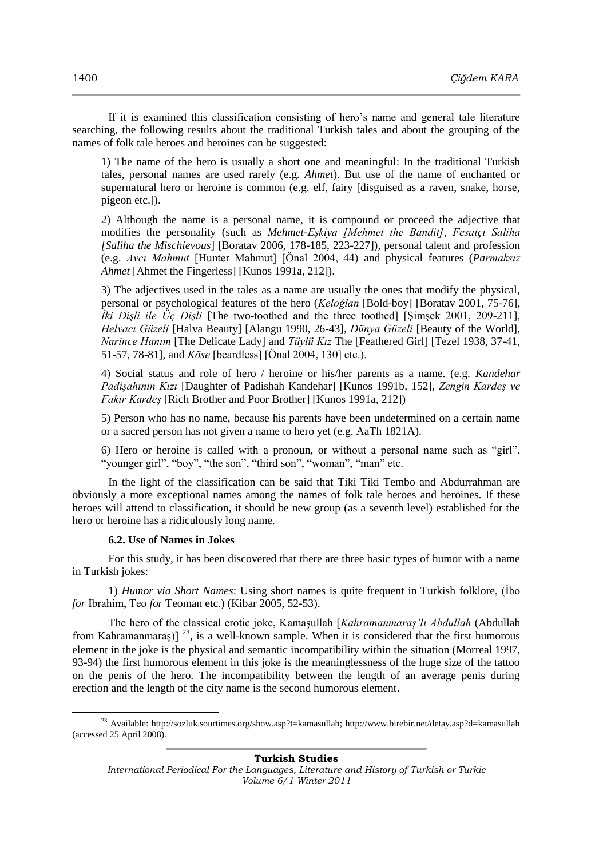If it is examined this classification consisting of hero"s name and general tale literature searching, the following results about the traditional Turkish tales and about the grouping of the names of folk tale heroes and heroines can be suggested:

1) The name of the hero is usually a short one and meaningful: In the traditional Turkish tales, personal names are used rarely (e.g. *Ahmet*). But use of the name of enchanted or supernatural hero or heroine is common (e.g. elf, fairy [disguised as a raven, snake, horse, pigeon etc.]).

2) Although the name is a personal name, it is compound or proceed the adjective that modifies the personality (such as *Mehmet-Eşkiya [Mehmet the Bandit]*, *Fesatçı Saliha [Saliha the Mischievous*] [Boratav 2006, 178-185, 223-227]), personal talent and profession (e.g. *Avcı Mahmut* [Hunter Mahmut] [Önal 2004, 44) and physical features (*Parmaksız Ahmet* [Ahmet the Fingerless] [Kunos 1991a, 212]).

3) The adjectives used in the tales as a name are usually the ones that modify the physical, personal or psychological features of the hero (*Keloğlan* [Bold-boy] [Boratav 2001, 75-76], *İki Dişli ile Üç Dişli* [The two-toothed and the three toothed] [ġimĢek 2001, 209-211], *Helvacı Güzeli* [Halva Beauty] [Alangu 1990, 26-43], *Dünya Güzeli* [Beauty of the World], *Narince Hanım* [The Delicate Lady] and *Tüylü Kız* The [Feathered Girl] [Tezel 1938, 37-41, 51-57, 78-81], and *Köse* [beardless] [Önal 2004, 130] etc.).

4) Social status and role of hero / heroine or his/her parents as a name. (e.g. *Kandehar Padişahının Kızı* [Daughter of Padishah Kandehar] [Kunos 1991b, 152], *Zengin Kardeş ve Fakir Kardeş* [Rich Brother and Poor Brother] [Kunos 1991a, 212])

5) Person who has no name, because his parents have been undetermined on a certain name or a sacred person has not given a name to hero yet (e.g. AaTh 1821A).

6) Hero or heroine is called with a pronoun, or without a personal name such as "girl", "younger girl", "boy", "the son", "third son", "woman", "man" etc.

In the light of the classification can be said that Tiki Tiki Tembo and Abdurrahman are obviously a more exceptional names among the names of folk tale heroes and heroines. If these heroes will attend to classification, it should be new group (as a seventh level) established for the hero or heroine has a ridiculously long name.

# **6.2. Use of Names in Jokes**

 $\overline{a}$ 

For this study, it has been discovered that there are three basic types of humor with a name in Turkish jokes:

1) *Humor via Short Names*: Using short names is quite frequent in Turkish folklore, (İbo *for* İbrahim, Teo *for* Teoman etc.) (Kibar 2005, 52-53).

The hero of the classical erotic joke, KamaĢullah [*Kahramanmaraş'lı Abdullah* (Abdullah from Kahramanmaraş)]<sup>23</sup>, is a well-known sample. When it is considered that the first humorous element in the joke is the physical and semantic incompatibility within the situation (Morreal 1997, 93-94) the first humorous element in this joke is the meaninglessness of the huge size of the tattoo on the penis of the hero. The incompatibility between the length of an average penis during erection and the length of the city name is the second humorous element.

<sup>23</sup> Available: http://sozluk.sourtimes.org/show.asp?t=kamasullah; http://www.birebir.net/detay.asp?d=kamasullah (accessed 25 April 2008).

*International Periodical For the Languages, Literature and History of Turkish or Turkic Volume 6/1 Winter 2011*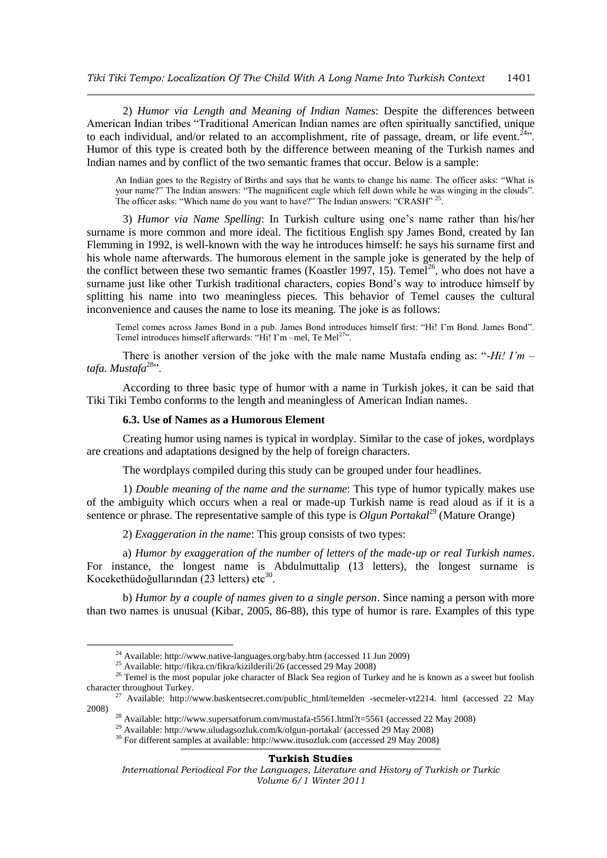2) *Humor via Length and Meaning of Indian Names*: Despite the differences between American Indian tribes "Traditional American Indian names are often spiritually sanctified, unique to each individual, and/or related to an accomplishment, rite of passage, dream, or life event.<sup>24</sup>. Humor of this type is created both by the difference between meaning of the Turkish names and Indian names and by conflict of the two semantic frames that occur. Below is a sample:

An Indian goes to the Registry of Births and says that he wants to change his name. The officer asks: "What is your name?" The Indian answers: "The magnificent eagle which fell down while he was winging in the clouds". The officer asks: "Which name do you want to have?" The Indian answers: "CRASH" <sup>25</sup>.

3) *Humor via Name Spelling*: In Turkish culture using one"s name rather than his/her surname is more common and more ideal. The fictitious English spy James Bond, created by Ian Flemming in 1992, is well-known with the way he introduces himself: he says his surname first and his whole name afterwards. The humorous element in the sample joke is generated by the help of the conflict between these two semantic frames (Koastler 1997, 15). Temel<sup>26</sup>, who does not have a surname just like other Turkish traditional characters, copies Bond"s way to introduce himself by splitting his name into two meaningless pieces. This behavior of Temel causes the cultural inconvenience and causes the name to lose its meaning. The joke is as follows:

Temel comes across James Bond in a pub. James Bond introduces himself first: "Hi! I"m Bond. James Bond". Temel introduces himself afterwards: "Hi! I'm –mel, Te Mel<sup>27</sup>".

There is another version of the joke with the male name Mustafa ending as: "-*Hi! I'm –* tafa. Mustafa<sup>28</sup>".

According to three basic type of humor with a name in Turkish jokes, it can be said that Tiki Tiki Tembo conforms to the length and meaningless of American Indian names.

# **6.3. Use of Names as a Humorous Element**

Creating humor using names is typical in wordplay. Similar to the case of jokes, wordplays are creations and adaptations designed by the help of foreign characters.

The wordplays compiled during this study can be grouped under four headlines.

1) *Double meaning of the name and the surname*: This type of humor typically makes use of the ambiguity which occurs when a real or made-up Turkish name is read aloud as if it is a sentence or phrase. The representative sample of this type is *Olgun Portakal*<sup>29</sup> (Mature Orange)

2) *Exaggeration in the name*: This group consists of two types:

a) *Humor by exaggeration of the number of letters of the made-up or real Turkish names*. For instance, the longest name is Abdulmuttalip (13 letters), the longest surname is Kocekethüdoğullarından  $(23$  letters) etc<sup>3</sup> .

b) *Humor by a couple of names given to a single person*. Since naming a person with more than two names is unusual (Kibar, 2005, 86-88), this type of humor is rare. Examples of this type

1

<sup>24</sup> Available: http://www.native-languages.org/baby.htm (accessed 11 Jun 2009)

<sup>&</sup>lt;sup>25</sup> Available: http://fikra.cn/fikra/kizilderili/26 (accessed 29 May 2008)

<sup>&</sup>lt;sup>26</sup> Temel is the most popular joke character of Black Sea region of Turkey and he is known as a sweet but foolish character throughout Turkey.

<sup>&</sup>lt;sup>7</sup> Available: http://www.baskentsecret.com/public\_html/temelden -secmeler-vt2214. html (accessed 22 May 2008)

<sup>&</sup>lt;sup>28</sup> Available: http://www.supersatforum.com/mustafa-t5561.html?t=5561 (accessed 22 May 2008)

<sup>29</sup> Available: http://www.uludagsozluk.com/k/olgun-portakal/ (accessed 29 May 2008)

<sup>30</sup> For different samples at available: http://www.itusozluk.com (accessed 29 May 2008)

*International Periodical For the Languages, Literature and History of Turkish or Turkic Volume 6/1 Winter 2011*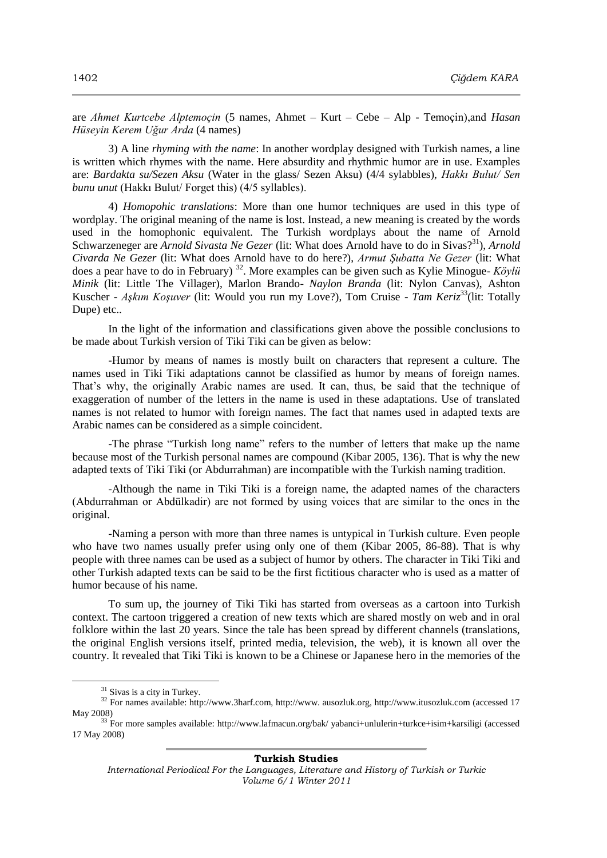are *Ahmet Kurtcebe Alptemoçin* (5 names, Ahmet – Kurt – Cebe – Alp - Temoçin),and *Hasan Hüseyin Kerem Uğur Arda* (4 names)

3) A line *rhyming with the name*: In another wordplay designed with Turkish names, a line is written which rhymes with the name. Here absurdity and rhythmic humor are in use. Examples are: *Bardakta su/Sezen Aksu* (Water in the glass/ Sezen Aksu) (4/4 sylabbles), *Hakkı Bulut/ Sen bunu unut* (Hakkı Bulut/ Forget this) (4/5 syllables).

4) *Homopohic translations*: More than one humor techniques are used in this type of wordplay. The original meaning of the name is lost. Instead, a new meaning is created by the words used in the homophonic equivalent. The Turkish wordplays about the name of Arnold Schwarzeneger are *Arnold Sivasta Ne Gezer* (lit: What does Arnold have to do in Sivas?<sup>31</sup>), *Arnold Civarda Ne Gezer* (lit: What does Arnold have to do here?), *Armut Şubatta Ne Gezer* (lit: What does a pear have to do in February) <sup>32</sup>. More examples can be given such as Kylie Minogue- *Köylü Minik* (lit: Little The Villager), Marlon Brando- *Naylon Branda* (lit: Nylon Canvas), Ashton Kuscher - Askım Koşuver (lit: Would you run my Love?), Tom Cruise - *Tam Keriz*<sup>33</sup>(lit: Totally Dupe) etc..

In the light of the information and classifications given above the possible conclusions to be made about Turkish version of Tiki Tiki can be given as below:

-Humor by means of names is mostly built on characters that represent a culture. The names used in Tiki Tiki adaptations cannot be classified as humor by means of foreign names. That's why, the originally Arabic names are used. It can, thus, be said that the technique of exaggeration of number of the letters in the name is used in these adaptations. Use of translated names is not related to humor with foreign names. The fact that names used in adapted texts are Arabic names can be considered as a simple coincident.

-The phrase "Turkish long name" refers to the number of letters that make up the name because most of the Turkish personal names are compound (Kibar 2005, 136). That is why the new adapted texts of Tiki Tiki (or Abdurrahman) are incompatible with the Turkish naming tradition.

-Although the name in Tiki Tiki is a foreign name, the adapted names of the characters (Abdurrahman or Abdülkadir) are not formed by using voices that are similar to the ones in the original.

-Naming a person with more than three names is untypical in Turkish culture. Even people who have two names usually prefer using only one of them (Kibar 2005, 86-88). That is why people with three names can be used as a subject of humor by others. The character in Tiki Tiki and other Turkish adapted texts can be said to be the first fictitious character who is used as a matter of humor because of his name.

To sum up, the journey of Tiki Tiki has started from overseas as a cartoon into Turkish context. The cartoon triggered a creation of new texts which are shared mostly on web and in oral folklore within the last 20 years. Since the tale has been spread by different channels (translations, the original English versions itself, printed media, television, the web), it is known all over the country. It revealed that Tiki Tiki is known to be a Chinese or Japanese hero in the memories of the

 $\overline{a}$ 

 $31$  Sivas is a city in Turkey.

<sup>32</sup> For names available: http://www.3harf.com, http://www. ausozluk.org, http://www.itusozluk.com (accessed 17 May 2008)

<sup>33</sup> For more samples available: http://www.lafmacun.org/bak/ yabanci+unlulerin+turkce+isim+karsiligi (accessed 17 May 2008)

*International Periodical For the Languages, Literature and History of Turkish or Turkic Volume 6/1 Winter 2011*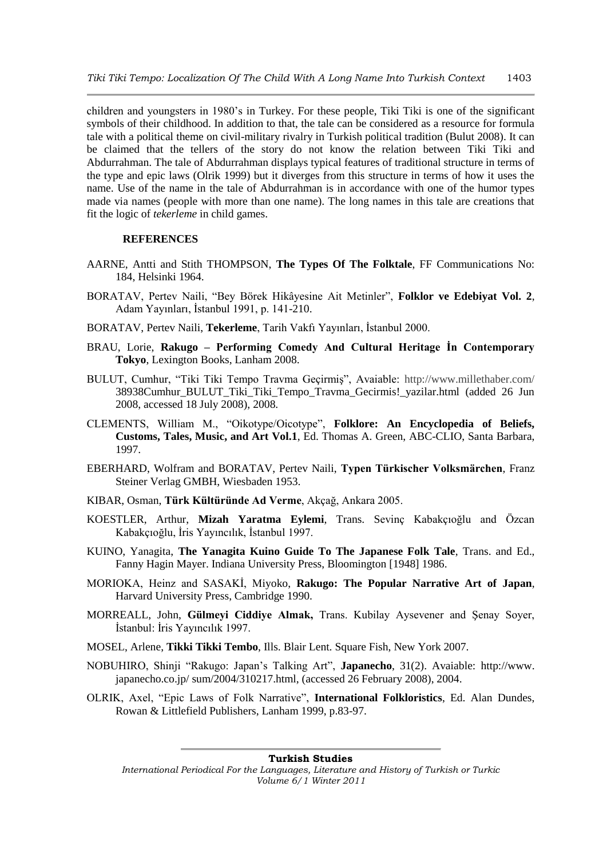children and youngsters in 1980"s in Turkey. For these people, Tiki Tiki is one of the significant symbols of their childhood. In addition to that, the tale can be considered as a resource for formula tale with a political theme on civil-military rivalry in Turkish political tradition (Bulut 2008). It can be claimed that the tellers of the story do not know the relation between Tiki Tiki and Abdurrahman. The tale of Abdurrahman displays typical features of traditional structure in terms of the type and epic laws (Olrik 1999) but it diverges from this structure in terms of how it uses the name. Use of the name in the tale of Abdurrahman is in accordance with one of the humor types made via names (people with more than one name). The long names in this tale are creations that fit the logic of *tekerleme* in child games.

# **REFERENCES**

- AARNE, Antti and Stith THOMPSON, **The Types Of The Folktale**, FF Communications No: 184, Helsinki 1964.
- BORATAV, Pertev Naili, "Bey Börek Hikâyesine Ait Metinler", **Folklor ve Edebiyat Vol. 2**, Adam Yayınları, İstanbul 1991, p. 141-210.
- BORATAV, Pertev Naili, Tekerleme, Tarih Vakfı Yayınları, İstanbul 2000.
- BRAU, Lorie, **Rakugo – Performing Comedy And Cultural Heritage İn Contemporary Tokyo**, Lexington Books, Lanham 2008.
- BULUT, Cumhur, "Tiki Tiki Tempo Travma Geçirmiş", Avaiable:<http://www.millethaber.com/> 38938Cumhur\_BULUT\_Tiki\_Tiki\_Tempo\_Travma\_Gecirmis!\_yazilar.html (added 26 Jun 2008, accessed 18 July 2008), 2008.
- CLEMENTS, William M., "Oikotype/Oicotype", **Folklore: An Encyclopedia of Beliefs, Customs, Tales, Music, and Art Vol.1**, Ed. Thomas A. Green, ABC-CLIO, Santa Barbara, 1997.
- EBERHARD, Wolfram and BORATAV, Pertev Naili, **Typen Türkischer Volksmärchen**, Franz Steiner Verlag GMBH, Wiesbaden 1953.
- KIBAR, Osman, **Türk Kültüründe Ad Verme**, Akçağ, Ankara 2005.
- KOESTLER, Arthur, **Mizah Yaratma Eylemi**, Trans. Sevinç Kabakçıoğlu and Özcan Kabakçıoğlu, İris Yayıncılık, İstanbul 1997.
- KUINO, Yanagita, **The Yanagita Kuino Guide To The Japanese Folk Tale**, Trans. and Ed., Fanny Hagin Mayer. Indiana University Press, Bloomington [1948] 1986.
- MORIOKA, Heinz and SASAKI, Miyoko, Rakugo: The Popular Narrative Art of Japan, Harvard University Press, Cambridge 1990.
- MORREALL, John, **Gülmeyi Ciddiye Almak,** Trans. Kubilay Aysevener and ġenay Soyer, İstanbul: İris Yayıncılık 1997.
- MOSEL, Arlene, **Tikki Tikki Tembo**, Ills. Blair Lent. Square Fish, New York 2007.
- NOBUHIRO, Shinji "Rakugo: Japan"s Talking Art", **Japanecho**, 31(2). Avaiable: http://www. japanecho.co.jp/ sum/2004/310217.html, (accessed 26 February 2008), 2004.
- OLRIK, Axel, "Epic Laws of Folk Narrative", **International Folkloristics**, Ed. Alan Dundes, Rowan & Littlefield Publishers, Lanham 1999, p.83-97.

*International Periodical For the Languages, Literature and History of Turkish or Turkic Volume 6/1 Winter 2011*